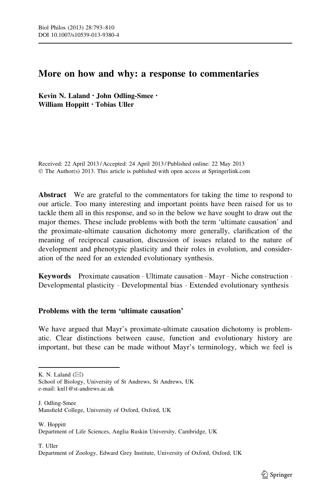# More on how and why: a response to commentaries

Kevin N. Laland • John Odling-Smee • William Hoppitt • Tobias Uller

Received: 22 April 2013 / Accepted: 24 April 2013 / Published online: 22 May 2013 © The Author(s) 2013. This article is published with open access at Springerlink.com

Abstract We are grateful to the commentators for taking the time to respond to our article. Too many interesting and important points have been raised for us to tackle them all in this response, and so in the below we have sought to draw out the major themes. These include problems with both the term 'ultimate causation' and the proximate-ultimate causation dichotomy more generally, clarification of the meaning of reciprocal causation, discussion of issues related to the nature of development and phenotypic plasticity and their roles in evolution, and consideration of the need for an extended evolutionary synthesis.

Keywords Proximate causation · Ultimate causation · Mayr · Niche construction · Developmental plasticity - Developmental bias - Extended evolutionary synthesis

## Problems with the term 'ultimate causation'

We have argued that Mayr's proximate-ultimate causation dichotomy is problematic. Clear distinctions between cause, function and evolutionary history are important, but these can be made without Mayr's terminology, which we feel is

K. N. Laland  $(\boxtimes)$ 

School of Biology, University of St Andrews, St Andrews, UK e-mail: knl1@st-andrews.ac.uk

J. Odling-Smee Mansfield College, University of Oxford, Oxford, UK

W. Hoppitt Department of Life Sciences, Anglia Ruskin University, Cambridge, UK

T. Uller Department of Zoology, Edward Grey Institute, University of Oxford, Oxford, UK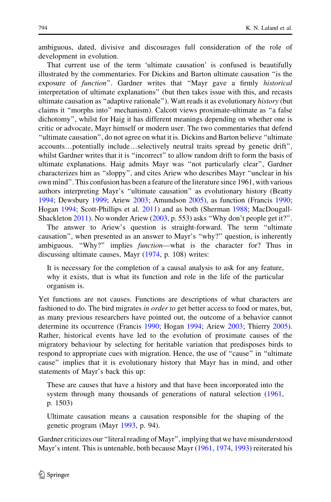ambiguous, dated, divisive and discourages full consideration of the role of development in evolution.

That current use of the term 'ultimate causation' is confused is beautifully illustrated by the commentaries. For Dickins and Barton ultimate causation ''is the exposure of function". Gardner writes that "Mayr gave a firmly historical interpretation of ultimate explanations'' (but then takes issue with this, and recasts ultimate causation as "adaptive rationale"). Watt reads it as evolutionary *history* (but claims it ''morphs into'' mechanism). Calcott views proximate-ultimate as ''a false dichotomy'', whilst for Haig it has different meanings depending on whether one is critic or advocate, Mayr himself or modern user. The two commentaries that defend ''ultimate causation'', do not agree on what it is. Dickins and Barton believe ''ultimate accounts…potentially include…selectively neutral traits spread by genetic drift'', whilst Gardner writes that it is ''incorrect'' to allow random drift to form the basis of ultimate explanations. Haig admits Mayr was ''not particularly clear'', Gardner characterizes him as ''sloppy'', and cites Ariew who describes Mayr ''unclear in his own mind''. This confusion has been a feature of the literature since 1961, with various authors interpreting Mayr's ''ultimate causation'' as evolutionary history (Beatty [1994;](#page-15-0) Dewsbury [1999;](#page-15-0) Ariew [2003;](#page-15-0) Amundson [2005\)](#page-15-0), as function (Francis [1990;](#page-15-0) Hogan [1994](#page-16-0); Scott-Phillips et al. [2011\)](#page-17-0) and as both (Sherman [1988;](#page-17-0) MacDougall-Shackleton [2011\)](#page-16-0). No wonder Ariew ([2003](#page-15-0), p. 553) asks ''Why don't people get it?''.

The answer to Ariew's question is straight-forward. The term ''ultimate causation'', when presented as an answer to Mayr's ''why?'' question, is inherently ambiguous. "Why?" implies *function*—what is the character for? Thus in discussing ultimate causes, Mayr [\(1974](#page-16-0), p. 108) writes:

It is necessary for the completion of a causal analysis to ask for any feature, why it exists, that is what its function and role in the life of the particular organism is.

Yet functions are not causes. Functions are descriptions of what characters are fashioned to do. The bird migrates *in order to* get better access to food or mates, but, as many previous researchers have pointed out, the outcome of a behavior cannot determine its occurrence (Francis [1990](#page-15-0); Hogan [1994;](#page-16-0) Ariew [2003;](#page-15-0) Thierry [2005\)](#page-17-0). Rather, historical events have led to the evolution of proximate causes of the migratory behaviour by selecting for heritable variation that predisposes birds to respond to appropriate cues with migration. Hence, the use of ''cause'' in ''ultimate cause'' implies that it is evolutionary history that Mayr has in mind, and other statements of Mayr's back this up:

These are causes that have a history and that have been incorporated into the system through many thousands of generations of natural selection ([1961,](#page-16-0) p. 1503)

Ultimate causation means a causation responsible for the shaping of the genetic program (Mayr [1993](#page-16-0), p. 94).

Gardner criticizes our ''literal reading of Mayr'', implying that we have misunderstood Mayr's intent. This is untenable, both because Mayr [\(1961](#page-16-0), [1974,](#page-16-0) [1993](#page-16-0)) reiterated his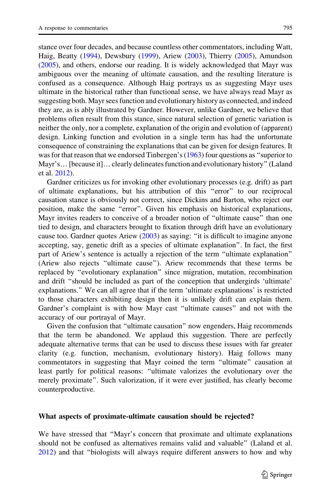stance over four decades, and because countless other commentators, including Watt, Haig, Beatty ([1994\)](#page-15-0), Dewsbury [\(1999](#page-15-0)), Ariew ([2003\)](#page-15-0), Thierry [\(2005](#page-17-0)), Amundson [\(2005](#page-15-0)), and others, endorse our reading. It is widely acknowledged that Mayr was ambiguous over the meaning of ultimate causation, and the resulting literature is confused as a consequence. Although Haig portrays us as suggesting Mayr uses ultimate in the historical rather than functional sense, we have always read Mayr as suggesting both. Mayr sees function and evolutionary history as connected, and indeed they are, as is ably illustrated by Gardner. However, unlike Gardner, we believe that problems often result from this stance, since natural selection of genetic variation is neither the only, nor a complete, explanation of the origin and evolution of (apparent) design. Linking function and evolution in a single term has had the unfortunate consequence of constraining the explanations that can be given for design features. It was for that reason that we endorsed Tinbergen's ([1963\)](#page-17-0) four questions as "superior to Mayr's…[because it]…clearly delineates function and evolutionary history'' (Laland et al. [2012](#page-16-0)).

Gardner criticizes us for invoking other evolutionary processes (e.g. drift) as part of ultimate explanations, but his attribution of this ''error'' to our reciprocal causation stance is obviously not correct, since Dickins and Barton, who reject our position, make the same ''error''. Given his emphasis on historical explanations, Mayr invites readers to conceive of a broader notion of ''ultimate cause'' than one tied to design, and characters brought to fixation through drift have an evolutionary cause too. Gardner quotes Ariew ([2003\)](#page-15-0) as saying: ''it is difficult to imagine anyone accepting, say, genetic drift as a species of ultimate explanation''. In fact, the first part of Ariew's sentence is actually a rejection of the term ''ultimate explanation'' (Ariew also rejects ''ultimate cause''). Ariew recommends that these terms be replaced by ''evolutionary explanation'' since migration, mutation, recombination and drift ''should be included as part of the conception that undergirds 'ultimate' explanations.'' We can all agree that if the term 'ultimate explanations' is restricted to those characters exhibiting design then it is unlikely drift can explain them. Gardner's complaint is with how Mayr cast ''ultimate causes'' and not with the accuracy of our portrayal of Mayr.

Given the confusion that ''ultimate causation'' now engenders, Haig recommends that the term be abandoned. We applaud this suggestion. There are perfectly adequate alternative terms that can be used to discuss these issues with far greater clarity (e.g. function, mechanism, evolutionary history). Haig follows many commentators in suggesting that Mayr coined the term ''ultimate'' causation at least partly for political reasons: ''ultimate valorizes the evolutionary over the merely proximate''. Such valorization, if it were ever justified, has clearly become counterproductive.

#### What aspects of proximate-ultimate causation should be rejected?

We have stressed that ''Mayr's concern that proximate and ultimate explanations should not be confused as alternatives remains valid and valuable'' (Laland et al. [2012\)](#page-16-0) and that ''biologists will always require different answers to how and why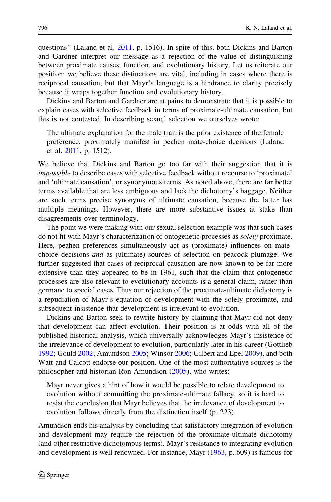questions'' (Laland et al. [2011,](#page-16-0) p. 1516). In spite of this, both Dickins and Barton and Gardner interpret our message as a rejection of the value of distinguishing between proximate causes, function, and evolutionary history. Let us reiterate our position: we believe these distinctions are vital, including in cases where there is reciprocal causation, but that Mayr's language is a hindrance to clarity precisely because it wraps together function and evolutionary history.

Dickins and Barton and Gardner are at pains to demonstrate that it is possible to explain cases with selective feedback in terms of proximate-ultimate causation, but this is not contested. In describing sexual selection we ourselves wrote:

The ultimate explanation for the male trait is the prior existence of the female preference, proximately manifest in peahen mate-choice decisions (Laland et al. [2011](#page-16-0), p. 1512).

We believe that Dickins and Barton go too far with their suggestion that it is impossible to describe cases with selective feedback without recourse to 'proximate' and 'ultimate causation', or synonymous terms. As noted above, there are far better terms available that are less ambiguous and lack the dichotomy's baggage. Neither are such terms precise synonyms of ultimate causation, because the latter has multiple meanings. However, there are more substantive issues at stake than disagreements over terminology.

The point we were making with our sexual selection example was that such cases do not fit with Mayr's characterization of ontogenetic processes as solely proximate. Here, peahen preferences simultaneously act as (proximate) influences on matechoice decisions and as (ultimate) sources of selection on peacock plumage. We further suggested that cases of reciprocal causation are now known to be far more extensive than they appeared to be in 1961, such that the claim that ontogenetic processes are also relevant to evolutionary accounts is a general claim, rather than germane to special cases. Thus our rejection of the proximate-ultimate dichotomy is a repudiation of Mayr's equation of development with the solely proximate, and subsequent insistence that development is irrelevant to evolution.

Dickins and Barton seek to rewrite history by claiming that Mayr did not deny that development can affect evolution. Their position is at odds with all of the published historical analysis, which universally acknowledges Mayr's insistence of the irrelevance of development to evolution, particularly later in his career (Gottlieb [1992;](#page-16-0) Gould [2002;](#page-16-0) Amundson [2005;](#page-15-0) Winsor [2006;](#page-17-0) Gilbert and Epel [2009](#page-16-0)), and both Watt and Calcott endorse our position. One of the most authoritative sources is the philosopher and historian Ron Amundson [\(2005](#page-15-0)), who writes:

Mayr never gives a hint of how it would be possible to relate development to evolution without committing the proximate-ultimate fallacy, so it is hard to resist the conclusion that Mayr believes that the irrelevance of development to evolution follows directly from the distinction itself (p. 223).

Amundson ends his analysis by concluding that satisfactory integration of evolution and development may require the rejection of the proximate-ultimate dichotomy (and other restrictive dichotomous terms). Mayr's resistance to integrating evolution and development is well renowned. For instance, Mayr ([1963,](#page-16-0) p. 609) is famous for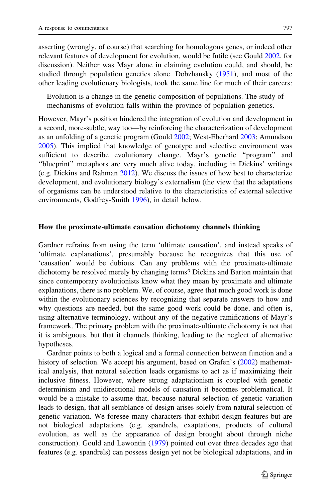asserting (wrongly, of course) that searching for homologous genes, or indeed other relevant features of development for evolution, would be futile (see Gould [2002,](#page-16-0) for discussion). Neither was Mayr alone in claiming evolution could, and should, be studied through population genetics alone. Dobzhansky [\(1951\)](#page-15-0), and most of the other leading evolutionary biologists, took the same line for much of their careers:

Evolution is a change in the genetic composition of populations. The study of mechanisms of evolution falls within the province of population genetics.

However, Mayr's position hindered the integration of evolution and development in a second, more-subtle, way too—by reinforcing the characterization of development as an unfolding of a genetic program (Gould [2002](#page-16-0); West-Eberhard [2003](#page-17-0); Amundson [2005\)](#page-15-0). This implied that knowledge of genotype and selective environment was sufficient to describe evolutionary change. Mayr's genetic ''program'' and "blueprint" metaphors are very much alive today, including in Dickins' writings (e.g. Dickins and Rahman [2012](#page-15-0)). We discuss the issues of how best to characterize development, and evolutionary biology's externalism (the view that the adaptations of organisms can be understood relative to the characteristics of external selective environments, Godfrey-Smith [1996](#page-16-0)), in detail below.

## How the proximate-ultimate causation dichotomy channels thinking

Gardner refrains from using the term 'ultimate causation', and instead speaks of 'ultimate explanations', presumably because he recognizes that this use of 'causation' would be dubious. Can any problems with the proximate-ultimate dichotomy be resolved merely by changing terms? Dickins and Barton maintain that since contemporary evolutionists know what they mean by proximate and ultimate explanations, there is no problem. We, of course, agree that much good work is done within the evolutionary sciences by recognizing that separate answers to how and why questions are needed, but the same good work could be done, and often is, using alternative terminology, without any of the negative ramifications of Mayr's framework. The primary problem with the proximate-ultimate dichotomy is not that it is ambiguous, but that it channels thinking, leading to the neglect of alternative hypotheses.

Gardner points to both a logical and a formal connection between function and a history of selection. We accept his argument, based on Grafen's ([2002\)](#page-16-0) mathematical analysis, that natural selection leads organisms to act as if maximizing their inclusive fitness. However, where strong adaptationism is coupled with genetic determinism and unidirectional models of causation it becomes problematical. It would be a mistake to assume that, because natural selection of genetic variation leads to design, that all semblance of design arises solely from natural selection of genetic variation. We foresee many characters that exhibit design features but are not biological adaptations (e.g. spandrels, exaptations, products of cultural evolution, as well as the appearance of design brought about through niche construction). Gould and Lewontin [\(1979](#page-16-0)) pointed out over three decades ago that features (e.g. spandrels) can possess design yet not be biological adaptations, and in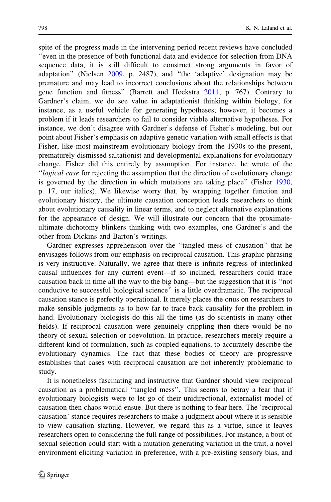spite of the progress made in the intervening period recent reviews have concluded ''even in the presence of both functional data and evidence for selection from DNA sequence data, it is still difficult to construct strong arguments in favor of adaptation'' (Nielsen [2009](#page-16-0), p. 2487), and ''the 'adaptive' designation may be premature and may lead to incorrect conclusions about the relationships between gene function and fitness'' (Barrett and Hoekstra [2011](#page-15-0), p. 767). Contrary to Gardner's claim, we do see value in adaptationist thinking within biology, for instance, as a useful vehicle for generating hypotheses; however, it becomes a problem if it leads researchers to fail to consider viable alternative hypotheses. For instance, we don't disagree with Gardner's defense of Fisher's modeling, but our point about Fisher's emphasis on adaptive genetic variation with small effects is that Fisher, like most mainstream evolutionary biology from the 1930s to the present, prematurely dismissed saltationist and developmental explanations for evolutionary change. Fisher did this entirely by assumption. For instance, he wrote of the ''logical case for rejecting the assumption that the direction of evolutionary change is governed by the direction in which mutations are taking place'' (Fisher [1930,](#page-15-0) p. 17, our italics). We likewise worry that, by wrapping together function and evolutionary history, the ultimate causation conception leads researchers to think about evolutionary causality in linear terms, and to neglect alternative explanations for the appearance of design. We will illustrate our concern that the proximateultimate dichotomy blinkers thinking with two examples, one Gardner's and the other from Dickins and Barton's writings.

Gardner expresses apprehension over the ''tangled mess of causation'' that he envisages follows from our emphasis on reciprocal causation. This graphic phrasing is very instructive. Naturally, we agree that there is infinite regress of interlinked causal influences for any current event—if so inclined, researchers could trace causation back in time all the way to the big bang—but the suggestion that it is ''not conducive to successful biological science'' is a little overdramatic. The reciprocal causation stance is perfectly operational. It merely places the onus on researchers to make sensible judgments as to how far to trace back causality for the problem in hand. Evolutionary biologists do this all the time (as do scientists in many other fields). If reciprocal causation were genuinely crippling then there would be no theory of sexual selection or coevolution. In practice, researchers merely require a different kind of formulation, such as coupled equations, to accurately describe the evolutionary dynamics. The fact that these bodies of theory are progressive establishes that cases with reciprocal causation are not inherently problematic to study.

It is nonetheless fascinating and instructive that Gardner should view reciprocal causation as a problematical ''tangled mess''. This seems to betray a fear that if evolutionary biologists were to let go of their unidirectional, externalist model of causation then chaos would ensue. But there is nothing to fear here. The 'reciprocal causation' stance requires researchers to make a judgment about where it is sensible to view causation starting. However, we regard this as a virtue, since it leaves researchers open to considering the full range of possibilities. For instance, a bout of sexual selection could start with a mutation generating variation in the trait, a novel environment eliciting variation in preference, with a pre-existing sensory bias, and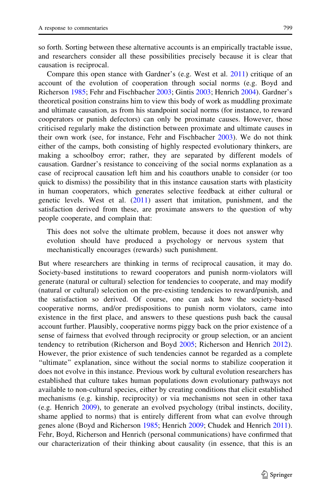so forth. Sorting between these alternative accounts is an empirically tractable issue, and researchers consider all these possibilities precisely because it is clear that causation is reciprocal.

Compare this open stance with Gardner's (e.g. West et al. [2011](#page-17-0)) critique of an account of the evolution of cooperation through social norms (e.g. Boyd and Richerson [1985](#page-15-0); Fehr and Fischbacher [2003;](#page-15-0) Gintis [2003](#page-16-0); Henrich [2004](#page-16-0)). Gardner's theoretical position constrains him to view this body of work as muddling proximate and ultimate causation, as from his standpoint social norms (for instance, to reward cooperators or punish defectors) can only be proximate causes. However, those criticised regularly make the distinction between proximate and ultimate causes in their own work (see, for instance, Fehr and Fischbacher [2003](#page-15-0)). We do not think either of the camps, both consisting of highly respected evolutionary thinkers, are making a schoolboy error; rather, they are separated by different models of causation. Gardner's resistance to conceiving of the social norms explanation as a case of reciprocal causation left him and his coauthors unable to consider (or too quick to dismiss) the possibility that in this instance causation starts with plasticity in human cooperators, which generates selective feedback at either cultural or genetic levels. West et al. ([2011\)](#page-17-0) assert that imitation, punishment, and the satisfaction derived from these, are proximate answers to the question of why people cooperate, and complain that:

This does not solve the ultimate problem, because it does not answer why evolution should have produced a psychology or nervous system that mechanistically encourages (rewards) such punishment.

But where researchers are thinking in terms of reciprocal causation, it may do. Society-based institutions to reward cooperators and punish norm-violators will generate (natural or cultural) selection for tendencies to cooperate, and may modify (natural or cultural) selection on the pre-existing tendencies to reward/punish, and the satisfaction so derived. Of course, one can ask how the society-based cooperative norms, and/or predispositions to punish norm violators, came into existence in the first place, and answers to these questions push back the causal account further. Plausibly, cooperative norms piggy back on the prior existence of a sense of fairness that evolved through reciprocity or group selection, or an ancient tendency to retribution (Richerson and Boyd [2005](#page-16-0); Richerson and Henrich [2012\)](#page-17-0). However, the prior existence of such tendencies cannot be regarded as a complete ''ultimate'' explanation, since without the social norms to stabilize cooperation it does not evolve in this instance. Previous work by cultural evolution researchers has established that culture takes human populations down evolutionary pathways not available to non-cultural species, either by creating conditions that elicit established mechanisms (e.g. kinship, reciprocity) or via mechanisms not seen in other taxa (e.g. Henrich [2009\)](#page-16-0), to generate an evolved psychology (tribal instincts, docility, shame applied to norms) that is entirely different from what can evolve through genes alone (Boyd and Richerson [1985;](#page-15-0) Henrich [2009;](#page-16-0) Chudek and Henrich [2011\)](#page-15-0). Fehr, Boyd, Richerson and Henrich (personal communications) have confirmed that our characterization of their thinking about causality (in essence, that this is an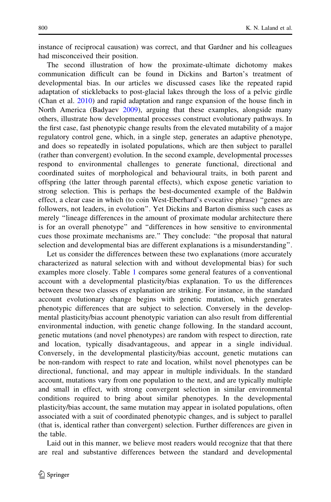instance of reciprocal causation) was correct, and that Gardner and his colleagues had misconceived their position.

The second illustration of how the proximate-ultimate dichotomy makes communication difficult can be found in Dickins and Barton's treatment of developmental bias. In our articles we discussed cases like the repeated rapid adaptation of sticklebacks to post-glacial lakes through the loss of a pelvic girdle (Chan et al. [2010\)](#page-15-0) and rapid adaptation and range expansion of the house finch in North America (Badyaev [2009](#page-15-0)), arguing that these examples, alongside many others, illustrate how developmental processes construct evolutionary pathways. In the first case, fast phenotypic change results from the elevated mutability of a major regulatory control gene, which, in a single step, generates an adaptive phenotype, and does so repeatedly in isolated populations, which are then subject to parallel (rather than convergent) evolution. In the second example, developmental processes respond to environmental challenges to generate functional, directional and coordinated suites of morphological and behavioural traits, in both parent and offspring (the latter through parental effects), which expose genetic variation to strong selection. This is perhaps the best-documented example of the Baldwin effect, a clear case in which (to coin West-Eberhard's evocative phrase) ''genes are followers, not leaders, in evolution''. Yet Dickins and Barton dismiss such cases as merely ''lineage differences in the amount of proximate modular architecture there is for an overall phenotype'' and ''differences in how sensitive to environmental cues those proximate mechanisms are.'' They conclude: ''the proposal that natural selection and developmental bias are different explanations is a misunderstanding''.

Let us consider the differences between these two explanations (more accurately characterized as natural selection with and without developmental bias) for such examples more closely. Table [1](#page-8-0) compares some general features of a conventional account with a developmental plasticity/bias explanation. To us the differences between these two classes of explanation are striking. For instance, in the standard account evolutionary change begins with genetic mutation, which generates phenotypic differences that are subject to selection. Conversely in the developmental plasticity/bias account phenotypic variation can also result from differential environmental induction, with genetic change following. In the standard account, genetic mutations (and novel phenotypes) are random with respect to direction, rate and location, typically disadvantageous, and appear in a single individual. Conversely, in the developmental plasticity/bias account, genetic mutations can be non-random with respect to rate and location, whilst novel phenotypes can be directional, functional, and may appear in multiple individuals. In the standard account, mutations vary from one population to the next, and are typically multiple and small in effect, with strong convergent selection in similar environmental conditions required to bring about similar phenotypes. In the developmental plasticity/bias account, the same mutation may appear in isolated populations, often associated with a suit of coordinated phenotypic changes, and is subject to parallel (that is, identical rather than convergent) selection. Further differences are given in the table.

Laid out in this manner, we believe most readers would recognize that that there are real and substantive differences between the standard and developmental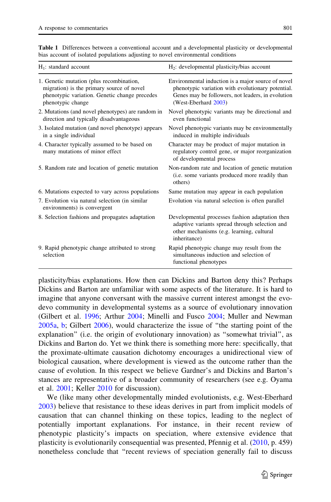| $H_1$ : standard account                                                                                                                                    | H <sub>2</sub> : developmental plasticity/bias account                                                                                                                               |
|-------------------------------------------------------------------------------------------------------------------------------------------------------------|--------------------------------------------------------------------------------------------------------------------------------------------------------------------------------------|
| 1. Genetic mutation (plus recombination,<br>migration) is the primary source of novel<br>phenotypic variation. Genetic change precedes<br>phenotypic change | Environmental induction is a major source of novel<br>phenotypic variation with evolutionary potential.<br>Genes may be followers, not leaders, in evolution<br>(West-Eberhard 2003) |
| 2. Mutations (and novel phenotypes) are random in<br>direction and typically disadvantageous                                                                | Novel phenotypic variants may be directional and<br>even functional                                                                                                                  |
| 3. Isolated mutation (and novel phenotype) appears<br>in a single individual                                                                                | Novel phenotypic variants may be environmentally<br>induced in multiple individuals                                                                                                  |
| 4. Character typically assumed to be based on<br>many mutations of minor effect                                                                             | Character may be product of major mutation in<br>regulatory control gene, or major reorganization<br>of developmental process                                                        |
| 5. Random rate and location of genetic mutation                                                                                                             | Non-random rate and location of genetic mutation<br>(i.e. some variants produced more readily than<br>others)                                                                        |
| 6. Mutations expected to vary across populations                                                                                                            | Same mutation may appear in each population                                                                                                                                          |
| 7. Evolution via natural selection (in similar<br>environments) is convergent                                                                               | Evolution via natural selection is often parallel                                                                                                                                    |
| 8. Selection fashions and propagates adaptation                                                                                                             | Developmental processes fashion adaptation then<br>adaptive variants spread through selection and<br>other mechanisms (e.g. learning, cultural<br>inheritance)                       |
| 9. Rapid phenotypic change attributed to strong<br>selection                                                                                                | Rapid phenotypic change may result from the<br>simultaneous induction and selection of<br>functional phenotypes                                                                      |

<span id="page-8-0"></span>Table 1 Differences between a conventional account and a developmental plasticity or developmental bias account of isolated populations adjusting to novel environmental conditions

plasticity/bias explanations. How then can Dickins and Barton deny this? Perhaps Dickins and Barton are unfamiliar with some aspects of the literature. It is hard to imagine that anyone conversant with the massive current interest amongst the evodevo community in developmental systems as a source of evolutionary innovation (Gilbert et al. [1996;](#page-16-0) Arthur [2004](#page-15-0); Minelli and Fusco [2004;](#page-16-0) Muller and Newman [2005a](#page-16-0), [b](#page-16-0); Gilbert [2006\)](#page-16-0), would characterize the issue of ''the starting point of the explanation'' (i.e. the origin of evolutionary innovation) as ''somewhat trivial'', as Dickins and Barton do. Yet we think there is something more here: specifically, that the proximate-ultimate causation dichotomy encourages a unidirectional view of biological causation, where development is viewed as the outcome rather than the cause of evolution. In this respect we believe Gardner's and Dickins and Barton's stances are representative of a broader community of researchers (see e.g. Oyama et al. [2001;](#page-16-0) Keller [2010](#page-16-0) for discussion).

We (like many other developmentally minded evolutionists, e.g. West-Eberhard [2003\)](#page-17-0) believe that resistance to these ideas derives in part from implicit models of causation that can channel thinking on these topics, leading to the neglect of potentially important explanations. For instance, in their recent review of phenotypic plasticity's impacts on speciation, where extensive evidence that plasticity is evolutionarily consequential was presented, Pfennig et al. [\(2010](#page-16-0), p. 459) nonetheless conclude that ''recent reviews of speciation generally fail to discuss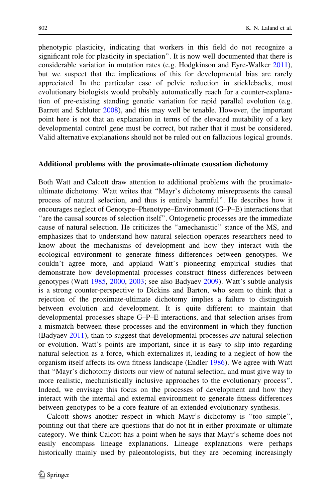phenotypic plasticity, indicating that workers in this field do not recognize a significant role for plasticity in speciation''. It is now well documented that there is considerable variation in mutation rates (e.g. Hodgkinson and Eyre-Walker [2011\)](#page-16-0), but we suspect that the implications of this for developmental bias are rarely appreciated. In the particular case of pelvic reduction in sticklebacks, most evolutionary biologists would probably automatically reach for a counter-explanation of pre-existing standing genetic variation for rapid parallel evolution (e.g. Barrett and Schluter [2008\)](#page-15-0), and this may well be tenable. However, the important point here is not that an explanation in terms of the elevated mutability of a key developmental control gene must be correct, but rather that it must be considered. Valid alternative explanations should not be ruled out on fallacious logical grounds.

#### Additional problems with the proximate-ultimate causation dichotomy

Both Watt and Calcott draw attention to additional problems with the proximateultimate dichotomy. Watt writes that ''Mayr's dichotomy misrepresents the causal process of natural selection, and thus is entirely harmful''. He describes how it encourages neglect of Genotype–Phenotype–Environment (G–P–E) interactions that ''are the causal sources of selection itself''. Ontogenetic processes are the immediate cause of natural selection. He criticizes the ''amechanistic'' stance of the MS, and emphasizes that to understand how natural selection operates researchers need to know about the mechanisms of development and how they interact with the ecological environment to generate fitness differences between genotypes. We couldn't agree more, and applaud Watt's pioneering empirical studies that demonstrate how developmental processes construct fitness differences between genotypes (Watt [1985,](#page-17-0) [2000](#page-17-0), [2003;](#page-17-0) see also Badyaev [2009](#page-15-0)). Watt's subtle analysis is a strong counter-perspective to Dickins and Barton, who seem to think that a rejection of the proximate-ultimate dichotomy implies a failure to distinguish between evolution and development. It is quite different to maintain that developmental processes shape G–P–E interactions, and that selection arises from a mismatch between these processes and the environment in which they function (Badyaev [2011](#page-15-0)), than to suggest that developmental processes *are* natural selection or evolution. Watt's points are important, since it is easy to slip into regarding natural selection as a force, which externalizes it, leading to a neglect of how the organism itself affects its own fitness landscape (Endler [1986\)](#page-15-0). We agree with Watt that ''Mayr's dichotomy distorts our view of natural selection, and must give way to more realistic, mechanistically inclusive approaches to the evolutionary process''. Indeed, we envisage this focus on the processes of development and how they interact with the internal and external environment to generate fitness differences between genotypes to be a core feature of an extended evolutionary synthesis.

Calcott shows another respect in which Mayr's dichotomy is ''too simple'', pointing out that there are questions that do not fit in either proximate or ultimate category. We think Calcott has a point when he says that Mayr's scheme does not easily encompass lineage explanations. Lineage explanations were perhaps historically mainly used by paleontologists, but they are becoming increasingly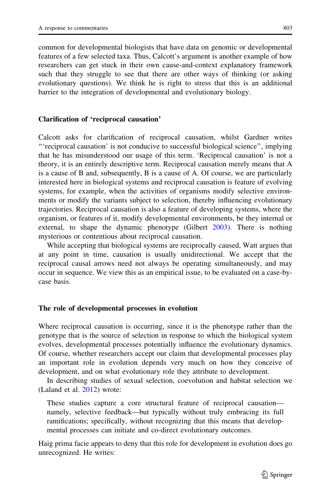common for developmental biologists that have data on genomic or developmental features of a few selected taxa. Thus, Calcott's argument is another example of how researchers can get stuck in their own cause-and-context explanatory framework such that they struggle to see that there are other ways of thinking (or asking evolutionary questions). We think he is right to stress that this is an additional barrier to the integration of developmental and evolutionary biology.

## Clarification of 'reciprocal causation'

Calcott asks for clarification of reciprocal causation, whilst Gardner writes '''reciprocal causation' is not conducive to successful biological science'', implying that he has misunderstood our usage of this term. 'Reciprocal causation' is not a theory, it is an entirely descriptive term. Reciprocal causation merely means that A is a cause of B and, subsequently, B is a cause of A. Of course, we are particularly interested here in biological systems and reciprocal causation is feature of evolving systems, for example, when the activities of organisms modify selective environments or modify the variants subject to selection, thereby influencing evolutionary trajectories. Reciprocal causation is also a feature of developing systems, where the organism, or features of it, modify developmental environments, be they internal or external, to shape the dynamic phenotype (Gilbert [2003](#page-15-0)). There is nothing mysterious or contentious about reciprocal causation.

While accepting that biological systems are reciprocally caused, Watt argues that at any point in time, causation is usually unidirectional. We accept that the reciprocal causal arrows need not always be operating simultaneously, and may occur in sequence. We view this as an empirical issue, to be evaluated on a case-bycase basis.

#### The role of developmental processes in evolution

Where reciprocal causation is occurring, since it is the phenotype rather than the genotype that is the source of selection in response to which the biological system evolves, developmental processes potentially influence the evolutionary dynamics. Of course, whether researchers accept our claim that developmental processes play an important role in evolution depends very much on how they conceive of development, and on what evolutionary role they attribute to development.

In describing studies of sexual selection, coevolution and habitat selection we (Laland et al. [2012](#page-16-0)) wrote:

These studies capture a core structural feature of reciprocal causation namely, selective feedback—but typically without truly embracing its full ramifications; specifically, without recognizing that this means that developmental processes can initiate and co-direct evolutionary outcomes.

Haig prima facie appears to deny that this role for development in evolution does go unrecognized. He writes: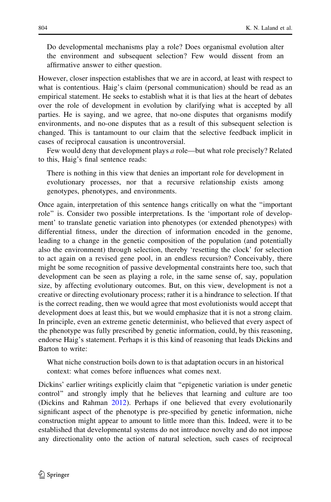Do developmental mechanisms play a role? Does organismal evolution alter the environment and subsequent selection? Few would dissent from an affirmative answer to either question.

However, closer inspection establishes that we are in accord, at least with respect to what is contentious. Haig's claim (personal communication) should be read as an empirical statement. He seeks to establish what it is that lies at the heart of debates over the role of development in evolution by clarifying what is accepted by all parties. He is saying, and we agree, that no-one disputes that organisms modify environments, and no-one disputes that as a result of this subsequent selection is changed. This is tantamount to our claim that the selective feedback implicit in cases of reciprocal causation is uncontroversial.

Few would deny that development plays a role—but what role precisely? Related to this, Haig's final sentence reads:

There is nothing in this view that denies an important role for development in evolutionary processes, nor that a recursive relationship exists among genotypes, phenotypes, and environments.

Once again, interpretation of this sentence hangs critically on what the ''important role'' is. Consider two possible interpretations. Is the 'important role of development' to translate genetic variation into phenotypes (or extended phenotypes) with differential fitness, under the direction of information encoded in the genome, leading to a change in the genetic composition of the population (and potentially also the environment) through selection, thereby 'resetting the clock' for selection to act again on a revised gene pool, in an endless recursion? Conceivably, there might be some recognition of passive developmental constraints here too, such that development can be seen as playing a role, in the same sense of, say, population size, by affecting evolutionary outcomes. But, on this view, development is not a creative or directing evolutionary process; rather it is a hindrance to selection. If that is the correct reading, then we would agree that most evolutionists would accept that development does at least this, but we would emphasize that it is not a strong claim. In principle, even an extreme genetic determinist, who believed that every aspect of the phenotype was fully prescribed by genetic information, could, by this reasoning, endorse Haig's statement. Perhaps it is this kind of reasoning that leads Dickins and Barton to write:

What niche construction boils down to is that adaptation occurs in an historical context: what comes before influences what comes next.

Dickins' earlier writings explicitly claim that ''epigenetic variation is under genetic control'' and strongly imply that he believes that learning and culture are too (Dickins and Rahman [2012](#page-15-0)). Perhaps if one believed that every evolutionarily significant aspect of the phenotype is pre-specified by genetic information, niche construction might appear to amount to little more than this. Indeed, were it to be established that developmental systems do not introduce novelty and do not impose any directionality onto the action of natural selection, such cases of reciprocal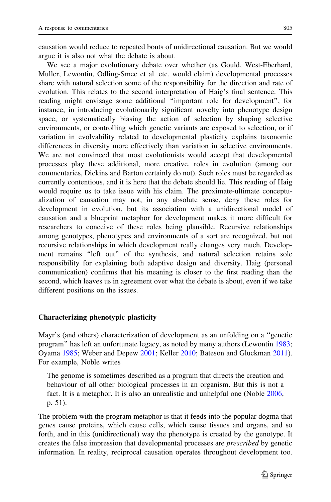causation would reduce to repeated bouts of unidirectional causation. But we would argue it is also not what the debate is about.

We see a major evolutionary debate over whether (as Gould, West-Eberhard, Muller, Lewontin, Odling-Smee et al. etc. would claim) developmental processes share with natural selection some of the responsibility for the direction and rate of evolution. This relates to the second interpretation of Haig's final sentence. This reading might envisage some additional ''important role for development'', for instance, in introducing evolutionarily significant novelty into phenotype design space, or systematically biasing the action of selection by shaping selective environments, or controlling which genetic variants are exposed to selection, or if variation in evolvability related to developmental plasticity explains taxonomic differences in diversity more effectively than variation in selective environments. We are not convinced that most evolutionists would accept that developmental processes play these additional, more creative, roles in evolution (among our commentaries, Dickins and Barton certainly do not). Such roles must be regarded as currently contentious, and it is here that the debate should lie. This reading of Haig would require us to take issue with his claim. The proximate-ultimate conceptualization of causation may not, in any absolute sense, deny these roles for development in evolution, but its association with a unidirectional model of causation and a blueprint metaphor for development makes it more difficult for researchers to conceive of these roles being plausible. Recursive relationships among genotypes, phenotypes and environments of a sort are recognized, but not recursive relationships in which development really changes very much. Development remains ''left out'' of the synthesis, and natural selection retains sole responsibility for explaining both adaptive design and diversity. Haig (personal communication) confirms that his meaning is closer to the first reading than the second, which leaves us in agreement over what the debate is about, even if we take different positions on the issues.

## Characterizing phenotypic plasticity

Mayr's (and others) characterization of development as an unfolding on a ''genetic program'' has left an unfortunate legacy, as noted by many authors (Lewontin [1983;](#page-16-0) Oyama [1985;](#page-16-0) Weber and Depew [2001](#page-17-0); Keller [2010;](#page-16-0) Bateson and Gluckman [2011\)](#page-15-0). For example, Noble writes

The genome is sometimes described as a program that directs the creation and behaviour of all other biological processes in an organism. But this is not a fact. It is a metaphor. It is also an unrealistic and unhelpful one (Noble [2006,](#page-16-0) p. 51).

The problem with the program metaphor is that it feeds into the popular dogma that genes cause proteins, which cause cells, which cause tissues and organs, and so forth, and in this (unidirectional) way the phenotype is created by the genotype. It creates the false impression that developmental processes are prescribed by genetic information. In reality, reciprocal causation operates throughout development too.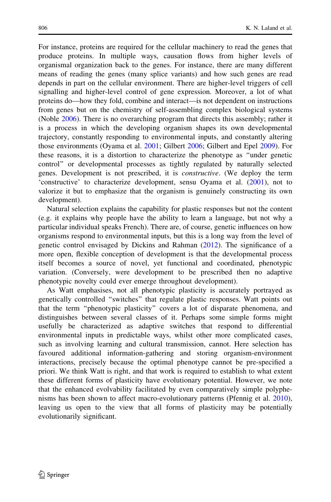For instance, proteins are required for the cellular machinery to read the genes that produce proteins. In multiple ways, causation flows from higher levels of organismal organization back to the genes. For instance, there are many different means of reading the genes (many splice variants) and how such genes are read depends in part on the cellular environment. There are higher-level triggers of cell signalling and higher-level control of gene expression. Moreover, a lot of what proteins do—how they fold, combine and interact—is not dependent on instructions from genes but on the chemistry of self-assembling complex biological systems (Noble [2006\)](#page-16-0). There is no overarching program that directs this assembly; rather it is a process in which the developing organism shapes its own developmental trajectory, constantly responding to environmental inputs, and constantly altering those environments (Oyama et al. [2001;](#page-16-0) Gilbert [2006](#page-16-0); Gilbert and Epel [2009\)](#page-16-0). For these reasons, it is a distortion to characterize the phenotype as ''under genetic control'' or developmental processes as tightly regulated by naturally selected genes. Development is not prescribed, it is constructive. (We deploy the term 'constructive' to characterize development, sensu Oyama et al. [\(2001](#page-16-0)), not to valorize it but to emphasize that the organism is genuinely constructing its own development).

Natural selection explains the capability for plastic responses but not the content (e.g. it explains why people have the ability to learn a language, but not why a particular individual speaks French). There are, of course, genetic influences on how organisms respond to environmental inputs, but this is a long way from the level of genetic control envisaged by Dickins and Rahman ([2012\)](#page-15-0). The significance of a more open, flexible conception of development is that the developmental process itself becomes a source of novel, yet functional and coordinated, phenotypic variation. (Conversely, were development to be prescribed then no adaptive phenotypic novelty could ever emerge throughout development).

As Watt emphasises, not all phenotypic plasticity is accurately portrayed as genetically controlled ''switches'' that regulate plastic responses. Watt points out that the term ''phenotypic plasticity'' covers a lot of disparate phenomena, and distinguishes between several classes of it. Perhaps some simple forms might usefully be characterized as adaptive switches that respond to differential environmental inputs in predictable ways, whilst other more complicated cases, such as involving learning and cultural transmission, cannot. Here selection has favoured additional information-gathering and storing organism-environment interactions, precisely because the optimal phenotype cannot be pre-specified a priori. We think Watt is right, and that work is required to establish to what extent these different forms of plasticity have evolutionary potential. However, we note that the enhanced evolvability facilitated by even comparatively simple polyphenisms has been shown to affect macro-evolutionary patterns (Pfennig et al. [2010\)](#page-16-0), leaving us open to the view that all forms of plasticity may be potentially evolutionarily significant.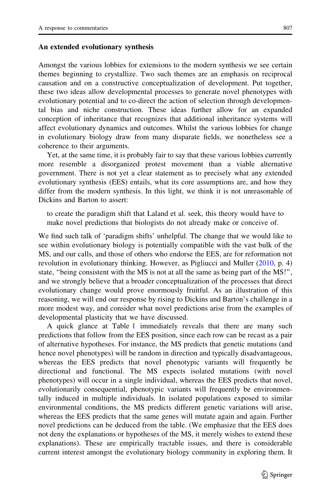Amongst the various lobbies for extensions to the modern synthesis we see certain themes beginning to crystallize. Two such themes are an emphasis on reciprocal causation and on a constructive conceptualization of development. Put together, these two ideas allow developmental processes to generate novel phenotypes with evolutionary potential and to co-direct the action of selection through developmental bias and niche construction. These ideas further allow for an expanded conception of inheritance that recognizes that additional inheritance systems will affect evolutionary dynamics and outcomes. Whilst the various lobbies for change in evolutionary biology draw from many disparate fields, we nonetheless see a coherence to their arguments.

Yet, at the same time, it is probably fair to say that these various lobbies currently more resemble a disorganized protest movement than a viable alternative government. There is not yet a clear statement as to precisely what any extended evolutionary synthesis (EES) entails, what its core assumptions are, and how they differ from the modern synthesis. In this light, we think it is not unreasonable of Dickins and Barton to assert:

to create the paradigm shift that Laland et al. seek, this theory would have to make novel predictions that biologists do not already make or conceive of.

We find such talk of 'paradigm shifts' unhelpful. The change that we would like to see within evolutionary biology is potentially compatible with the vast bulk of the MS, and our calls, and those of others who endorse the EES, are for reformation not revolution in evolutionary thinking. However, as Pigliucci and Muller ([2010,](#page-16-0) p. 4) state, ''being consistent with the MS is not at all the same as being part of the MS!'', and we strongly believe that a broader conceptualization of the processes that direct evolutionary change would prove enormously fruitful. As an illustration of this reasoning, we will end our response by rising to Dickins and Barton's challenge in a more modest way, and consider what novel predictions arise from the examples of developmental plasticity that we have discussed.

A quick glance at Table [1](#page-8-0) immediately reveals that there are many such predictions that follow from the EES position, since each row can be recast as a pair of alternative hypotheses. For instance, the MS predicts that genetic mutations (and hence novel phenotypes) will be random in direction and typically disadvantageous, whereas the EES predicts that novel phenotypic variants will frequently be directional and functional. The MS expects isolated mutations (with novel phenotypes) will occur in a single individual, whereas the EES predicts that novel, evolutionarily consequential, phenotypic variants will frequently be environmentally induced in multiple individuals. In isolated populations exposed to similar environmental conditions, the MS predicts different genetic variations will arise, whereas the EES predicts that the same genes will mutate again and again. Further novel predictions can be deduced from the table. (We emphasize that the EES does not deny the explanations or hypotheses of the MS, it merely wishes to extend these explanations). These are empirically tractable issues, and there is considerable current interest amongst the evolutionary biology community in exploring them. It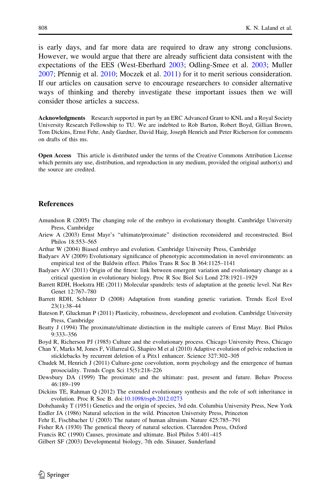<span id="page-15-0"></span>is early days, and far more data are required to draw any strong conclusions. However, we would argue that there are already sufficient data consistent with the expectations of the EES (West-Eberhard [2003](#page-17-0); Odling-Smee et al. [2003](#page-16-0); Muller [2007;](#page-16-0) Pfennig et al. [2010](#page-16-0); Moczek et al. [2011\)](#page-16-0) for it to merit serious consideration. If our articles on causation serve to encourage researchers to consider alternative ways of thinking and thereby investigate these important issues then we will consider those articles a success.

Acknowledgments Research supported in part by an ERC Advanced Grant to KNL and a Royal Society University Research Fellowship to TU. We are indebted to Rob Barton, Robert Boyd, Gillian Brown, Tom Dickins, Ernst Fehr, Andy Gardner, David Haig, Joseph Henrich and Peter Richerson for comments on drafts of this ms.

Open Access This article is distributed under the terms of the Creative Commons Attribution License which permits any use, distribution, and reproduction in any medium, provided the original author(s) and the source are credited.

### **References**

- Amundson R (2005) The changing role of the embryo in evolutionary thought. Cambridge University Press, Cambridge
- Ariew A (2003) Ernst Mayr's ''ultimate/proximate'' distinction reconsidered and reconstructed. Biol Philos 18:553–565
- Arthur W (2004) Biased embryo and evolution. Cambridge University Press, Cambridge
- Badyaev AV (2009) Evolutionary significance of phenotypic accommodation in novel environments: an empirical test of the Baldwin effect. Philos Trans R Soc B 364:1125–1141
- Badyaev AV (2011) Origin of the fittest: link between emergent variation and evolutionary change as a critical question in evolutionary biology. Proc R Soc Biol Sci Lond 278:1921–1929
- Barrett RDH, Hoekstra HE (2011) Molecular spandrels: tests of adaptation at the genetic level. Nat Rev Genet 12:767–780
- Barrett RDH, Schluter D (2008) Adaptation from standing genetic variation. Trends Ecol Evol 23(1):38–44
- Bateson P, Gluckman P (2011) Plasticity, robustness, development and evolution. Cambridge University Press, Cambridge
- Beatty J (1994) The proximate/ultimate distinction in the multiple careers of Ernst Mayr. Biol Philos 9:333–356
- Boyd R, Richerson PJ (1985) Culture and the evolutionary process. Chicago University Press, Chicago
- Chan Y, Marks M, Jones F, Villarreal G, Shapiro M et al (2010) Adaptive evolution of pelvic reduction in sticklebacks by recurrent deletion of a Pitx1 enhancer. Science 327:302–305
- Chudek M, Henrich J (2011) Culture-gene coevolution, norm psychology and the emergence of human prosociality. Trends Cogn Sci 15(5):218–226
- Dewsbury DA (1999) The proximate and the ultimate: past, present and future. Behav Process 46:189–199
- Dickins TE, Rahman Q (2012) The extended evolutionary synthesis and the role of soft inheritance in evolution. Proc R Soc B. doi:[10.1098/rspb.2012.0273](http://dx.doi.org/10.1098/rspb.2012.0273)
- Dobzhansky T (1951) Genetics and the origin of species, 3rd edn. Columbia University Press, New York Endler JA (1986) Natural selection in the wild. Princeton University Press, Princeton
- Fehr E, Fischbacher U (2003) The nature of human altruism. Nature 425:785–791
- Fisher RA (1930) The genetical theory of natural selection. Clarendon Press, Oxford
- Francis RC (1990) Causes, proximate and ultimate. Biol Philos 5:401–415
- Gilbert SF (2003) Developmental biology, 7th edn. Sinauer, Sunderland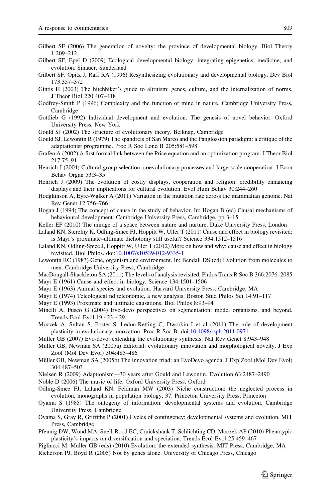- <span id="page-16-0"></span>Gilbert SF (2006) The generation of novelty: the province of developmental biology. Biol Theory 1:209–212
- Gilbert SF, Epel D (2009) Ecological developmental biology: integrating epigenetics, medicine, and evolution. Sinauer, Sunderland
- Gilbert SF, Opitz J, Raff RA (1996) Resynthesizing evolutionary and developmental biology. Dev Biol 173:357–372
- Gintis H (2003) The hitchhiker's guide to altruism: genes, culture, and the internalization of norms. J Theor Biol 220:407–418
- Godfrey-Smith P (1996) Complexity and the function of mind in nature. Cambridge University Press, Cambridge
- Gottlieb G (1992) Individual development and evolution. The genesis of novel behavior. Oxford University Press, New York
- Gould SJ (2002) The structure of evolutionary theory. Belknap, Cambridge
- Gould SJ, Lewontin R (1979) The spandrels of San Marco and the Panglossion paradigm: a critique of the adaptationist programme. Proc R Soc Lond B 205:581–598
- Grafen A (2002) A first formal link between the Price equation and an optimization program. J Theor Biol 217:75–91
- Henrich J (2004) Cultural group selection, coevolutionary processes and large-scale cooperation. J Econ Behav Organ 53:3–35
- Henrich J (2009) The evolution of costly displays, cooperation and religion: credibility enhancing displays and their implications for cultural evolution. Evol Hum Behav 30:244–260
- Hodgkinson A, Eyre-Walker A (2011) Variation in the mutation rate across the mammalian genome. Nat Rev Genet 12:756–766
- Hogan J (1994) The concept of cause in the study of behavior. In: Hogan B (ed) Causal mechanisms of behavioural development. Cambridge University Press, Cambridge, pp 3–15
- Keller EF (2010) The mirage of a space between nature and nurture. Duke University Press, London
- Laland KN, Sterelny K, Odling-Smee FJ, Hoppitt W, Uller T (2011) Cause and effect in biology revisited: is Mayr's proximate–ultimate dichotomy still useful? Science 334:1512–1516
- Laland KN, Odling-Smee J, Hoppitt W, Uller T (2012) More on how and why: cause and effect in biology revisited. Biol Philos. doi[:10.1007/s10539-012-9335-1](http://dx.doi.org/10.1007/s10539-012-9335-1)
- Lewontin RC (1983) Gene, organism and environment. In: Bendall DS (ed) Evolution from molecules to men. Cambridge University Press, Cambridge
- MacDougall-Shackleton SA (2011) The levels of analysis revisited. Philos Trans R Soc B 366:2076–2085 Mayr E (1961) Cause and effect in biology. Science 134:1501–1506
- Mayr E (1963) Animal species and evolution. Harvard University Press, Cambridge, MA
- Mayr E (1974) Teleological nd teleonomic, a new analysis. Boston Stud Philos Sci 14:91–117
- Mayr E (1993) Proximate and ultimate causations. Biol Philos 8:93–94
- Minelli A, Fusco G (2004) Evo-devo perspectives on segmentation: model organisms, and beyond. Trends Ecol Evol 19:423–429
- Moczek A, Sultan S, Foster S, Ledon-Retting C, Dworkin I et al (2011) The role of development plasticity in evolutionary innovation. Proc R Soc B. doi:[10.1098/rspb.2011.0971](http://dx.doi.org/10.1098/rspb.2011.0971)
- Muller GB (2007) Evo-devo: extending the evolutionary synthesis. Nat Rev Genet 8:943–948
- Muller GB, Newman SA (2005a) Editorial: evolutionary innovation and morphological novelty. J Exp Zool (Mol Dev Evol) 304:485–486
- Müller GB, Newman SA (2005b) The innovation triad: an EvoDevo agenda. J Exp Zool (Mol Dev Evol) 304:487–503
- Nielsen R (2009) Adaptionism—30 years after Gould and Lewontin. Evolution 63:2487–2490
- Noble D (2006) The music of life. Oxford University Press, Oxford
- Odling-Smee FJ, Laland KN, Feldman MW (2003) Niche construction: the neglected process in evolution, monographs in population biology, 37. Princeton University Press, Princeton
- Oyama S (1985) The ontogeny of information: developmental systems and evolution. Cambridge University Press, Cambridge
- Oyama S, Gray R, Griffiths P (2001) Cycles of contingency: developmental systems and evolution. MIT Press, Cambridge
- Pfennig DW, Wund MA, Snell-Rood EC, Cruickshank T, Schlichting CD, Moczek AP (2010) Phenotypic plasticity's impacts on diversification and speciation. Trends Ecol Evol 25:459–467
- Pigliucci M, Muller GB (eds) (2010) Evolution: the extended synthesis. MIT Press, Cambridge, MA Richerson PJ, Boyd R (2005) Not by genes alone. University of Chicago Press, Chicago